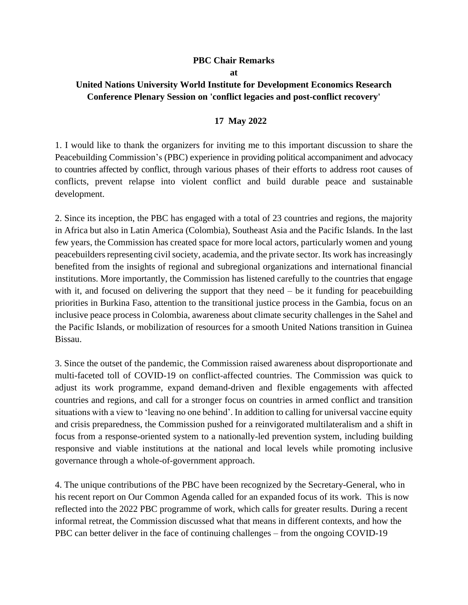## **PBC Chair Remarks**

**at**

## **United Nations University World Institute for Development Economics Research Conference Plenary Session on 'conflict legacies and post-conflict recovery'**

## **17 May 2022**

1. I would like to thank the organizers for inviting me to this important discussion to share the Peacebuilding Commission's (PBC) experience in providing political accompaniment and advocacy to countries affected by conflict, through various phases of their efforts to address root causes of conflicts, prevent relapse into violent conflict and build durable peace and sustainable development.

2. Since its inception, the PBC has engaged with a total of 23 countries and regions, the majority in Africa but also in Latin America (Colombia), Southeast Asia and the Pacific Islands. In the last few years, the Commission has created space for more local actors, particularly women and young peacebuilders representing civil society, academia, and the private sector. Its work has increasingly benefited from the insights of regional and subregional organizations and international financial institutions. More importantly, the Commission has listened carefully to the countries that engage with it, and focused on delivering the support that they need  $-$  be it funding for peacebuilding priorities in Burkina Faso, attention to the transitional justice process in the Gambia, focus on an inclusive peace process in Colombia, awareness about climate security challenges in the Sahel and the Pacific Islands, or mobilization of resources for a smooth United Nations transition in Guinea Bissau.

3. Since the outset of the pandemic, the Commission raised awareness about disproportionate and multi-faceted toll of COVID-19 on conflict-affected countries. The Commission was quick to adjust its work programme, expand demand-driven and flexible engagements with affected countries and regions, and call for a stronger focus on countries in armed conflict and transition situations with a view to 'leaving no one behind'. In addition to calling for universal vaccine equity and crisis preparedness, the Commission pushed for a reinvigorated multilateralism and a shift in focus from a response-oriented system to a nationally-led prevention system, including building responsive and viable institutions at the national and local levels while promoting inclusive governance through a whole-of-government approach.

4. The unique contributions of the PBC have been recognized by the Secretary-General, who in his recent report on Our Common Agenda called for an expanded focus of its work. This is now reflected into the 2022 PBC programme of work, which calls for greater results. During a recent informal retreat, the Commission discussed what that means in different contexts, and how the PBC can better deliver in the face of continuing challenges – from the ongoing COVID-19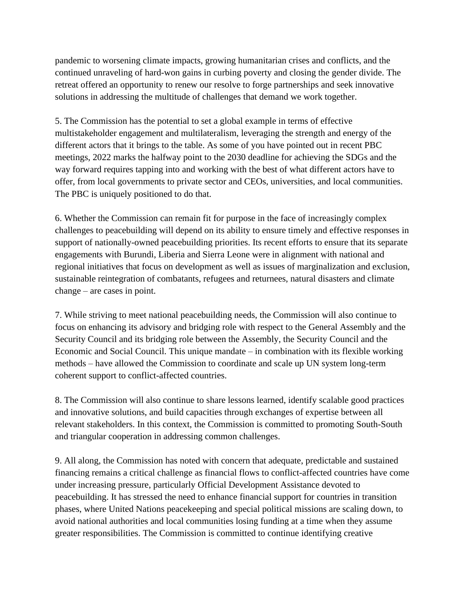pandemic to worsening climate impacts, growing humanitarian crises and conflicts, and the continued unraveling of hard-won gains in curbing poverty and closing the gender divide. The retreat offered an opportunity to renew our resolve to forge partnerships and seek innovative solutions in addressing the multitude of challenges that demand we work together.

5. The Commission has the potential to set a global example in terms of effective multistakeholder engagement and multilateralism, leveraging the strength and energy of the different actors that it brings to the table. As some of you have pointed out in recent PBC meetings, 2022 marks the halfway point to the 2030 deadline for achieving the SDGs and the way forward requires tapping into and working with the best of what different actors have to offer, from local governments to private sector and CEOs, universities, and local communities. The PBC is uniquely positioned to do that.

6. Whether the Commission can remain fit for purpose in the face of increasingly complex challenges to peacebuilding will depend on its ability to ensure timely and effective responses in support of nationally-owned peacebuilding priorities. Its recent efforts to ensure that its separate engagements with Burundi, Liberia and Sierra Leone were in alignment with national and regional initiatives that focus on development as well as issues of marginalization and exclusion, sustainable reintegration of combatants, refugees and returnees, natural disasters and climate change – are cases in point.

7. While striving to meet national peacebuilding needs, the Commission will also continue to focus on enhancing its advisory and bridging role with respect to the General Assembly and the Security Council and its bridging role between the Assembly, the Security Council and the Economic and Social Council. This unique mandate – in combination with its flexible working methods – have allowed the Commission to coordinate and scale up UN system long-term coherent support to conflict-affected countries.

8. The Commission will also continue to share lessons learned, identify scalable good practices and innovative solutions, and build capacities through exchanges of expertise between all relevant stakeholders. In this context, the Commission is committed to promoting South-South and triangular cooperation in addressing common challenges.

9. All along, the Commission has noted with concern that adequate, predictable and sustained financing remains a critical challenge as financial flows to conflict-affected countries have come under increasing pressure, particularly Official Development Assistance devoted to peacebuilding. It has stressed the need to enhance financial support for countries in transition phases, where United Nations peacekeeping and special political missions are scaling down, to avoid national authorities and local communities losing funding at a time when they assume greater responsibilities. The Commission is committed to continue identifying creative